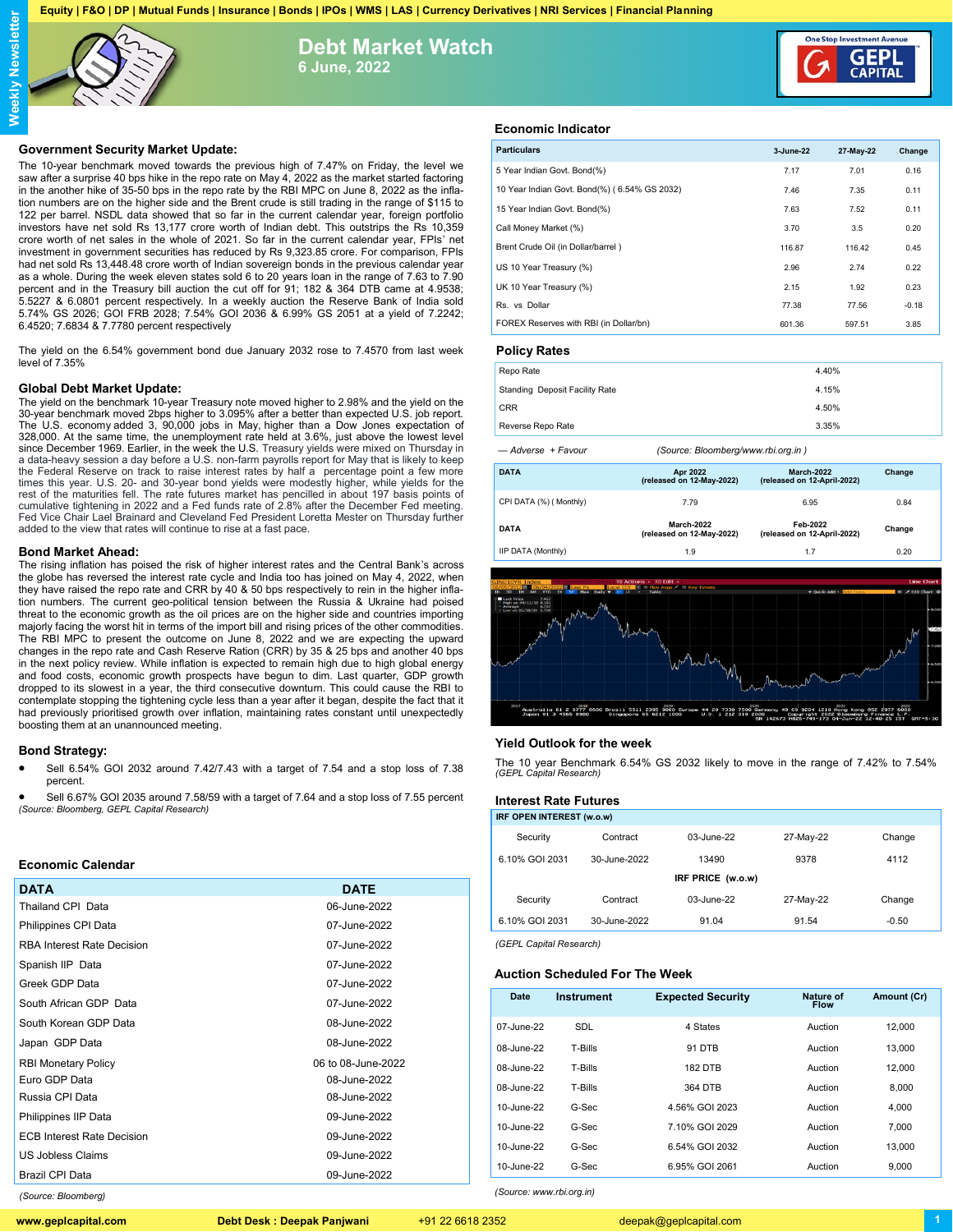**Equity | F&O | DP | Mutual Funds | Insurance | Bonds | IPOs | WMS | LAS | Currency Derivatives | NRI Services | Financial Planning**



**Debt Market Watch 6 June, 2022**



The 10-year benchmark moved towards the previous high of 7.47% on Friday, the level we saw after a surprise 40 bps hike in the repo rate on May 4, 2022 as the market started factoring in the another hike of 35-50 bps in the repo rate by the RBI MPC on June 8, 2022 as the inflation numbers are on the higher side and the Brent crude is still trading in the range of \$115 to 122 per barrel. NSDL data showed that so far in the current calendar year, foreign portfolio investors have net sold Rs 13,177 crore worth of Indian debt. This outstrips the Rs 10,359 crore worth of net sales in the whole of 2021. So far in the current calendar year, FPIs' net investment in government securities has reduced by Rs 9,323.85 crore. For comparison, FPIs had net sold Rs 13,448.48 crore worth of Indian sovereign bonds in the previous calendar year as a whole. During the week eleven states sold 6 to 20 years loan in the range of 7.63 to 7.90 percent and in the Treasury bill auction the cut off for 91; 182 & 364 DTB came at 4.9538; 5.5227 & 6.0801 percent respectively. In a weekly auction the Reserve Bank of India sold 5.74% GS 2026; GOI FRB 2028; 7.54% GOI 2036 & 6.99% GS 2051 at a yield of 7.2242; 6.4520; 7.6834 & 7.7780 percent respectively

The yield on the 6.54% government bond due January 2032 rose to 7.4570 from last week level of 7.35%

#### **Global Debt Market Update:**

The yield on the benchmark 10-year Treasury note moved higher to 2.98% and the yield on the 30-year benchmark moved 2bps higher to 3.095% after a better than expected U.S. job report. The U.S. economy added 3, 90,000 jobs in May, higher than a Dow Jones expectation of 328,000. At the same time, the unemployment rate held at 3.6%, just above the lowest level since December 1969. Earlier, in the week the U.S. Treasury yields were mixed on Thursday in a data-heavy session a day before a U.S. non-farm payrolls report for May that is likely to keep the Federal Reserve on track to raise interest rates by half a percentage point a few more times this year. U.S. 20- and 30-year bond yields were modestly higher, while yields for the<br>rest of the maturities fell. The rate futures market has pencilled in about 197 basis points of<br>cumulative tightening in 2022 and Fed Vice Chair Lael Brainard and Cleveland Fed President Loretta Mester on Thursday further added to the view that rates will continue to rise at a fast pace.

#### **Bond Market Ahead:**

The rising inflation has poised the risk of higher interest rates and the Central Bank's across the globe has reversed the interest rate cycle and India too has joined on May 4, 2022, when they have raised the repo rate and CRR by 40 & 50 bps respectively to rein in the higher inflation numbers. The current geo-political tension between the Russia & Ukraine had poised threat to the economic growth as the oil prices are on the higher side and countries importing majorly facing the worst hit in terms of the import bill and rising prices of the other commodities. The RBI MPC to present the outcome on June 8, 2022 and we are expecting the upward changes in the repo rate and Cash Reserve Ration (CRR) by 35 & 25 bps and another 40 bps in the next policy review. While inflation is expected to remain high due to high global energy and food costs, economic growth prospects have begun to dim. Last quarter, GDP growth dropped to its slowest in a year, the third consecutive downturn. This could cause the RBI to contemplate stopping the tightening cycle less than a year after it began, despite the fact that it had previously prioritised growth over inflation, maintaining rates constant until unexpectedly boosting them at an unannounced meeting.

# **Bond Strategy:**

 Sell 6.54% GOI 2032 around 7.42/7.43 with a target of 7.54 and a stop loss of 7.38 percent.

 Sell 6.67% GOI 2035 around 7.58/59 with a target of 7.64 and a stop loss of 7.55 percent *(Source: Bloomberg, GEPL Capital Research)*

# **Economic Calendar**

| DATA                              | <b>DATE</b>        |
|-----------------------------------|--------------------|
| Thailand CPI Data                 | 06-June-2022       |
| Philippines CPI Data              | 07-June-2022       |
| RBA Interest Rate Decision        | 07-June-2022       |
| Spanish IIP Data                  | 07-June-2022       |
| Greek GDP Data                    | 07-June-2022       |
| South African GDP Data            | 07-June-2022       |
| South Korean GDP Data             | 08-June-2022       |
| Japan GDP Data                    | 08-June-2022       |
| <b>RBI Monetary Policy</b>        | 06 to 08-June-2022 |
| Euro GDP Data                     | 08-June-2022       |
| Russia CPI Data                   | 08-June-2022       |
| Philippines IIP Data              | 09-June-2022       |
| <b>ECB Interest Rate Decision</b> | 09-June-2022       |
| US Jobless Claims                 | 09-June-2022       |
| Brazil CPI Data                   | 09-June-2022       |

# **Economic Indicator**

| <b>Particulars</b>                           | 3-June-22 | 27-May-22 | Change  |
|----------------------------------------------|-----------|-----------|---------|
| 5 Year Indian Govt. Bond(%)                  | 7.17      | 7.01      | 0.16    |
| 10 Year Indian Govt. Bond(%) (6.54% GS 2032) | 7.46      | 7.35      | 0.11    |
| 15 Year Indian Govt. Bond(%)                 | 7.63      | 7.52      | 0.11    |
| Call Money Market (%)                        | 3.70      | 3.5       | 0.20    |
| Brent Crude Oil (in Dollar/barrel)           | 116.87    | 116.42    | 0.45    |
| US 10 Year Treasury (%)                      | 2.96      | 2.74      | 0.22    |
| UK 10 Year Treasury (%)                      | 2.15      | 1.92      | 0.23    |
| Rs. vs Dollar                                | 77.38     | 77.56     | $-0.18$ |
| FOREX Reserves with RBI (in Dollar/bn)       | 601.36    | 597.51    | 3.85    |
|                                              |           |           |         |

GEPI

# **Policy Rates**

| Repo Rate                             | 4.40% |
|---------------------------------------|-------|
| <b>Standing Deposit Facility Rate</b> | 4.15% |
| <b>CRR</b>                            | 4.50% |
| Reverse Repo Rate                     | 3.35% |

*— Adverse + Favour (Source: Bloomberg/www.rbi.org.in )*

| DATA                   | <b>Apr 2022</b><br>(released on 12-May-2022) | <b>March-2022</b><br>(released on 12-April-2022) | Change |  |
|------------------------|----------------------------------------------|--------------------------------------------------|--------|--|
| CPI DATA (%) (Monthly) | 7.79                                         | 6.95                                             | 0.84   |  |
| DATA                   | March-2022<br>(released on 12-Mav-2022)      | Feb-2022<br>(released on 12-April-2022)          | Change |  |
| IIP DATA (Monthly)     | 1.9                                          | 1.7                                              | 0.20   |  |



## **Yield Outlook for the week**

The 10 year Benchmark 6.54% GS 2032 likely to move in the range of 7.42% to 7.54% *(GEPL Capital Research)*

## **Interest Rate Futures**

| IRF OPEN INTEREST (w.o.w) |              |                   |           |         |
|---------------------------|--------------|-------------------|-----------|---------|
| Security                  | Contract     | 03-June-22        | 27-May-22 | Change  |
| 6.10% GOI 2031            | 30-June-2022 | 13490             | 9378      | 4112    |
|                           |              | IRF PRICE (w.o.w) |           |         |
| Security                  | Contract     | 03-June-22        | 27-May-22 | Change  |
| 6.10% GOI 2031            | 30-June-2022 | 91.04             | 91.54     | $-0.50$ |
|                           |              |                   |           |         |

*(GEPL Capital Research)*

*(Source: www.rbi.org.in)*

### **Auction Scheduled For The Week**

| Date       | <b>Instrument</b> | <b>Expected Security</b> | Nature of<br><b>Flow</b> | Amount (Cr) |
|------------|-------------------|--------------------------|--------------------------|-------------|
| 07-June-22 | <b>SDL</b>        | 4 States                 | Auction                  | 12.000      |
| 08-June-22 | T-Bills           | 91 DTB                   | Auction                  | 13.000      |
| 08-June-22 | T-Bills           | <b>182 DTB</b>           | Auction                  | 12.000      |
| 08-June-22 | T-Bills           | 364 DTB                  | Auction                  | 8.000       |
| 10-June-22 | G-Sec             | 4.56% GOI 2023           | Auction                  | 4.000       |
| 10-June-22 | G-Sec             | 7.10% GOI 2029           | Auction                  | 7.000       |
| 10-June-22 | G-Sec             | 6.54% GOI 2032           | Auction                  | 13.000      |
| 10-June-22 | G-Sec             | 6.95% GOI 2061           | Auction                  | 9.000       |

*(Source: Bloomberg)*